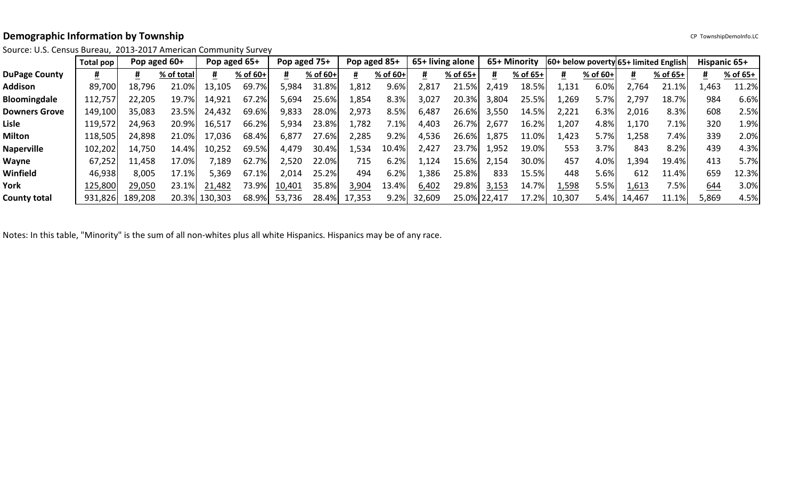# **Demographic Information by Township CP Township DemoInfo.LC**

Source: U.S. Census Bureau, 2013-2017 American Community Survey

|                      | Total pop |         | Pop aged $60+$ | Pop aged 65+  |          |        | Pop aged 75+ | Pop aged 85+ |          |        | 65+ living alone |              | 65+ Minority |        |          |        | 60+ below poverty 65+ limited English | Hispanic 65+ |          |
|----------------------|-----------|---------|----------------|---------------|----------|--------|--------------|--------------|----------|--------|------------------|--------------|--------------|--------|----------|--------|---------------------------------------|--------------|----------|
| <b>DuPage County</b> |           |         | % of total     |               | % of 60+ |        | $%$ of 60+   |              | % of 60+ |        | % of 65+         |              | % of 65+     | #      | % of 60+ | #      | $%$ of 65+                            | #            | % of 65+ |
| Addison              | 89,700    | 18,796  | 21.0%          | 13,105        | 69.7%    | 5,984  | 31.8%        | 1,812        | 9.6%     | 2,817  | 21.5%            | 2,419        | 18.5%        | 1,131  | 6.0%     | 2,764  | 21.1%                                 | 1,463        | 11.2%    |
| <b>Bloomingdale</b>  | 112,757   | 22,205  | 19.7%          | 14,921        | 67.2%    | 5,694  | 25.6%        | 1,854        | 8.3%     | 3,027  | 20.3%            | 3,804        | 25.5%        | L,269  | 5.7%     | 797ء   | 18.7%                                 | 984          | 6.6%     |
| <b>Downers Grove</b> | 149,100   | 35,083  | 23.5%          | 24,432        | 69.6%    | 9,833  | 28.0%        | 2,973        | 8.5%     | 6,487  | 26.6%            | 3,550        | 14.5%        | 2,221  | 6.3%     | 2,016  | 8.3%                                  | 608          | 2.5%     |
| Lisle                | 119,572   | 24,963  | 20.9%          | 16,517        | 66.2%    | 5,934  | 23.8%        | 1,782        | 7.1%     | 4,403  | 26.7%            | 2,677        | 16.2%        | 1,207  | 4.8%     | 1,170  | 7.1%                                  | 320          | 1.9%     |
| Milton               | 118,505   | 24,898  | 21.0%          | 17,036        | 68.4%    | 6,877  | 27.6%        | 2,285        | 9.2%     | 4,536  | 26.6%            | 1,875        | 11.0%        | 1,423  | 5.7%     | ,258   | 7.4%                                  | 339          | 2.0%     |
| <b>Naperville</b>    | 102,202   | 14,750  | 14.4%          | 10,252        | 69.5%    | 4,479  | 30.4%        | 1,534        | 10.4%    | 2,427  | 23.7%            | 1,952        | 19.0%        | 553    | 3.7%     | 843    | 8.2%                                  | 439          | 4.3%     |
| Wayne                | 67,252    | 1,458   | 17.0%l         | ,189          | 62.7%    | 2,520  | 22.0%        | 715          | 6.2%     | 1,124  | 15.6%            | 2,154        | 30.0%        | 457    | 4.0%     | .394   | 19.4%                                 | 413          | 5.7%     |
| Winfield             | 46,938    | 8,005   | 17.1%          | 5,369         | 67.1%    | 2,014  | 25.2%        | 494          | 6.2%     | 386،   | 25.8%            | 833          | 15.5%        | 448    | 5.6%     | 612    | $11.4\%$                              | 659          | 12.3%    |
| York                 | 125,800   | 29,050  | 23.1%          | 21,482        | 73.9%    | 10,401 | 35.8%        | 3,904        | 13.4%    | 6,402  | 29.8%            | 3,153        | 14.7%        | 1,598  | 5.5%     | 1,613  | 7.5%                                  | 644          | 3.0%     |
| <b>County total</b>  | 931,826   | 189,208 |                | 20.3% 130,303 | 68.9%    | 53,736 |              | 28.4% 17,353 | 9.2%     | 32,609 |                  | 25.0% 22,417 | 17.2%        | 10,307 | $5.4\%$  | 14,467 | 11.1%                                 | 5,869        | 4.5%     |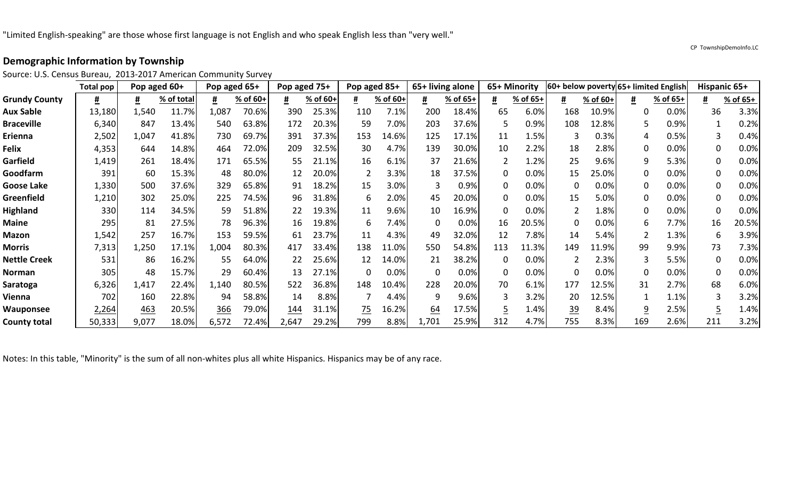Source: U.S. Census Bureau, 2013-2017 American Community Survey

|                      | <b>Total pop</b> | Pop aged 60+ |            | Pop aged 65+ |          | Pop aged 75+ |          | Pop aged 85+ |          | 65+ living alone |          |          | 65+ Minority |           |          |          | 60+ below poverty 65+ limited English |             | <b>Hispanic 65+</b> |
|----------------------|------------------|--------------|------------|--------------|----------|--------------|----------|--------------|----------|------------------|----------|----------|--------------|-----------|----------|----------|---------------------------------------|-------------|---------------------|
| <b>Grundy County</b> | #                | #            | % of total |              | % of 60+ |              | % of 60+ |              | % of 60+ | #                | % of 65+ | #        | % of 65+     | #         | % of 60+ | #        | % of 65+                              | #           | % of 65+            |
| <b>Aux Sable</b>     | 13,180           | 1,540        | 11.7%      | 1,087        | 70.6%    | 390          | 25.3%    | 110          | 7.1%     | 200              | 18.4%    | 65       | 6.0%         | 168       | 10.9%    |          | 0.0%                                  | 36          | 3.3%                |
| <b>Braceville</b>    | 6,340            | 847          | 13.4%      | 540          | 63.8%    | 172          | 20.3%    | 59           | 7.0%     | 203              | 37.6%    |          | 0.9%         | 108       | 12.8%    |          | 0.9%                                  |             | 0.2%                |
| Erienna              | 2,502            | 1,047        | 41.8%      | 730          | 69.7%    | 391          | 37.3%    | 153          | 14.6%    | 125              | 17.1%    | 11       | 1.5%         |           | 0.3%     |          | 0.5%                                  |             | 0.4%                |
| <b>Felix</b>         | 4,353            | 644          | 14.8%      | 464          | 72.0%    | 209          | 32.5%    | 30           | 4.7%     | 139              | 30.0%    | 10       | 2.2%         | 18        | 2.8%     | 0        | 0.0%                                  | 0           | 0.0%                |
| Garfield             | 1,419            | 261          | 18.4%      | 171          | 65.5%    | 55           | 21.1%    | 16           | 6.1%     | 37               | 21.6%    |          | 1.2%         | 25        | 9.6%     | 9        | 5.3%                                  | 0           | 0.0%                |
| Goodfarm             | 391              | 60           | 15.3%      | 48           | 80.0%    | 12           | 20.0%    |              | 3.3%     | 18               | 37.5%    | 0        | 0.0%         | 15        | 25.0%    | 0        | 0.0%                                  | 0           | 0.0%                |
| <b>Goose Lake</b>    | 1,330            | 500          | 37.6%      | 329          | 65.8%    | 91           | 18.2%    | 15           | 3.0%     |                  | 0.9%     | 0        | 0.0%         | 0         | 0.0%     |          | 0.0%                                  | 0           | 0.0%                |
| Greenfield           | 1,210            | 302          | 25.0%      | 225          | 74.5%    | 96           | 31.8%    | 6            | 2.0%     | 45               | 20.0%    | O        | 0.0%         | 15        | 5.0%     |          | 0.0%                                  | $\Omega$    | 0.0%                |
| <b>Highland</b>      | 330              | 114          | 34.5%      | 59           | 51.8%    | 22           | 19.3%    | 11           | 9.6%     | 10               | 16.9%    | $\Omega$ | 0.0%         |           | 1.8%     | $\Omega$ | 0.0%                                  | $\Omega$    | 0.0%                |
| <b>Maine</b>         | 295              | 81           | 27.5%      | 78           | 96.3%    | 16           | 19.8%    | 6            | 7.4%     | $\Omega$         | 0.0%     | 16       | 20.5%        | $\Omega$  | 0.0%     | 6        | 7.7%                                  | 16          | 20.5%               |
| <b>Mazon</b>         | 1,542            | 257          | 16.7%      | 153          | 59.5%    | 61           | 23.7%    | 11           | 4.3%     | 49               | 32.0%    | 12       | 7.8%         | 14        | 5.4%     |          | 1.3%                                  | 6           | 3.9%                |
| <b>Morris</b>        | 7,313            | 1,250        | 17.1%      | 1,004        | 80.3%    | 417          | 33.4%    | 138          | 11.0%    | 550              | 54.8%    | 113      | 11.3%        | 149       | 11.9%    | 99       | 9.9%                                  | 73          | 7.3%                |
| <b>Nettle Creek</b>  | 531              | 86           | 16.2%      | 55           | 64.0%    | 22           | 25.6%    | 12           | 14.0%    | 21               | 38.2%    | 0        | 0.0%         |           | 2.3%     |          | 5.5%                                  | 0           | 0.0%                |
| Norman               | 305              | 48           | 15.7%      | 29           | 60.4%    | 13           | 27.1%    |              | 0.0%     | $\Omega$         | 0.0%     | 0        | 0.0%         | 0         | 0.0%     |          | 0.0%                                  | $\mathbf 0$ | 0.0%                |
| Saratoga             | 6,326            | 1,417        | 22.4%      | 1,140        | 80.5%    | 522          | 36.8%    | 148          | 10.4%    | 228              | 20.0%    | 70       | 6.1%         | 177       | 12.5%    | 31       | 2.7%                                  | 68          | 6.0%                |
| Vienna               | 702              | 160          | 22.8%      | 94           | 58.8%    | 14           | 8.8%     |              | 4.4%     | q                | 9.6%     |          | 3.2%         | 20        | 12.5%    |          | 1.1%                                  |             | 3.2%                |
| Wauponsee            | 2,264            | 463          | 20.5%      | 366          | 79.0%    | 144          | 31.1%    | 75           | 16.2%    | <u>64</u>        | 17.5%    |          | 1.4%         | <u>39</u> | 8.4%     |          | 2.5%                                  |             | 1.4%                |
| <b>County total</b>  | 50,333           | 9,077        | 18.0%      | 6,572        | 72.4%    | 2,647        | 29.2%    | 799          | 8.8%     | 1,701            | 25.9%    | 312      | 4.7%         | 755       | 8.3%     | 169      | 2.6%                                  | 211         | 3.2%                |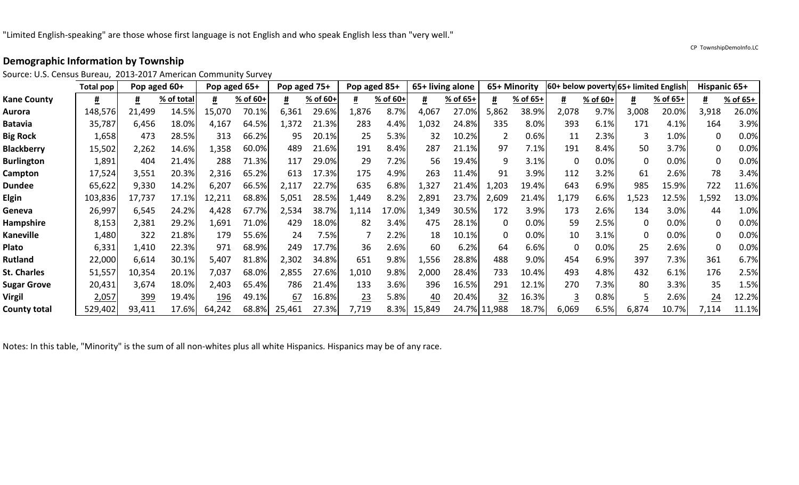Source: U.S. Census Bureau, 2013-2017 American Community Survey

|                     | <b>Total pop</b> | Pop aged 60+ |            |        | Pop aged 65+ | Pop aged 75+ |          | Pop aged 85+ |          |          | 65+ living alone |       | 65+ Minority |          |          |       | 60+ below poverty 65+ limited English | Hispanic 65+ |          |
|---------------------|------------------|--------------|------------|--------|--------------|--------------|----------|--------------|----------|----------|------------------|-------|--------------|----------|----------|-------|---------------------------------------|--------------|----------|
| <b>Kane County</b>  | #                | #            | % of total |        | % of 60+     |              | % of 60+ |              | % of 60+ | <u>#</u> | % of 65+         | #     | % of 65+     | #        | % of 60+ | #     | % of 65+                              | #            | % of 65+ |
| <b>Aurora</b>       | 148,576          | 21,499       | 14.5%      | 15,070 | 70.1%        | 6,361        | 29.6%    | l,876        | 8.7%     | 4,067    | 27.0%            | 5,862 | 38.9%        | 2,078    | 9.7%     | 3,008 | 20.0%                                 | 3,918        | 26.0%    |
| <b>Batavia</b>      | 35,787           | 6,456        | 18.0%      | 4,167  | 64.5%        | ,372         | 21.3%    | 283          | 4.4%     | 1,032    | 24.8%            | 335   | 8.0%         | 393      | 6.1%     | 171   | 4.1%                                  | 164          | 3.9%     |
| <b>Big Rock</b>     | 1,658            | 473          | 28.5%      | 313    | 66.2%        | 95           | 20.1%    | 25           | 5.3%     | 32       | 10.2%            |       | 0.6%         | 11       | 2.3%     |       | 1.0%                                  | 0            | 0.0%     |
| <b>Blackberry</b>   | 15,502           | 2,262        | 14.6%      | 1,358  | 60.0%        | 489          | 21.6%    | 191          | 8.4%     | 287      | 21.1%            | 97    | 7.1%         | 191      | 8.4%     | 50    | 3.7%                                  | 0            | 0.0%     |
| <b>Burlington</b>   | 1,891            | 404          | 21.4%      | 288    | 71.3%        | 117          | 29.0%    | 29           | 7.2%     | 56       | 19.4%            | q     | 3.1%         | 0        | 0.0%     |       | 0.0%                                  | $\mathbf{0}$ | 0.0%     |
| Campton             | 17,524           | 3,551        | 20.3%      | 2,316  | 65.2%        | 613          | 17.3%    | 175          | 4.9%     | 263      | 11.4%            | 91    | 3.9%         | 112      | 3.2%     | 61    | 2.6%                                  | 78           | 3.4%     |
| <b>Dundee</b>       | 65,622           | 9,330        | 14.2%      | 6,207  | 66.5%        | 2,117        | 22.7%    | 635          | 6.8%     | 1,327    | 21.4%            | 1,203 | 19.4%        | 643      | 6.9%     | 985   | 15.9%                                 | 722          | 11.6%    |
| <b>Elgin</b>        | 103,836          | 17,737       | 17.1%      | 12,211 | 68.8%        | 5,051        | 28.5%    | 1,449        | 8.2%     | 2,891    | 23.7%            | 2,609 | 21.4%        | 1,179    | 6.6%     | 1,523 | 12.5%                                 | 1,592        | 13.0%    |
| Geneva              | 26,997           | 6,545        | 24.2%      | 4,428  | 67.7%        | 2,534        | 38.7%    | 1,114        | 17.0%    | 1,349    | 30.5%            | 172   | 3.9%         | 173      | 2.6%     | 134   | 3.0%                                  | 44           | 1.0%     |
| <b>Hampshire</b>    | 8,153            | 2,381        | 29.2%      | 1,691  | 71.0%        | 429          | 18.0%    | 82           | 3.4%     | 475      | 28.1%            | 0     | 0.0%         | 59       | 2.5%     |       | 0.0%                                  | $\mathbf{0}$ | 0.0%     |
| <b>Kaneville</b>    | 1,480            | 322          | 21.8%      | 179    | 55.6%        | 24           | 7.5%     |              | 2.2%     | 18       | 10.1%            | 0     | 0.0%         | 10       | 3.1%     |       | 0.0%                                  | 0            | 0.0%     |
| Plato               | 6,331            | 1,410        | 22.3%      | 971    | 68.9%        | 249          | 17.7%    | 36           | 2.6%     | 60       | 6.2%             | 64    | 6.6%         | 0        | 0.0%     | 25    | 2.6%                                  | 0            | 0.0%     |
| <b>Rutland</b>      | 22,000           | 6,614        | 30.1%      | 5,407  | 81.8%        | 2,302        | 34.8%    | 651          | 9.8%     | 1,556    | 28.8%            | 488   | 9.0%         | 454      | 6.9%     | 397   | 7.3%                                  | 361          | 6.7%     |
| <b>St. Charles</b>  | 51,557           | 10,354       | 20.1%      | 7,037  | 68.0%        | 2,855        | 27.6%    | 1,010        | 9.8%     | 2,000    | 28.4%            | 733   | 10.4%        | 493      | 4.8%     | 432   | 6.1%                                  | 176          | 2.5%     |
| <b>Sugar Grove</b>  | 20,431           | 3,674        | 18.0%      | 2,403  | 65.4%        | 786          | 21.4%    | 133          | 3.6%     | 396      | 16.5%            | 291   | 12.1%        | 270      | 7.3%     | 80    | 3.3%                                  | 35           | 1.5%     |
| <b>Virgil</b>       | 2,057            | 399          | 19.4%      | 196    | 49.1%        | 67           | 16.8%    | <u> 23</u>   | 5.8%     | 40       | 20.4%            | 32    | 16.3%        | <u>3</u> | 0.8%     |       | 2.6%                                  | 24           | 12.2%    |
| <b>County total</b> | 529,402          | 93,411       | 17.6%      | 64,242 | 68.8%        | 25,461       | 27.3%    | 7,719        | 8.3%     | 15,849   | 24.7% 11,988     |       | 18.7%        | 6,069    | 6.5%     | 6,874 | 10.7%                                 | 7,114        | 11.1%    |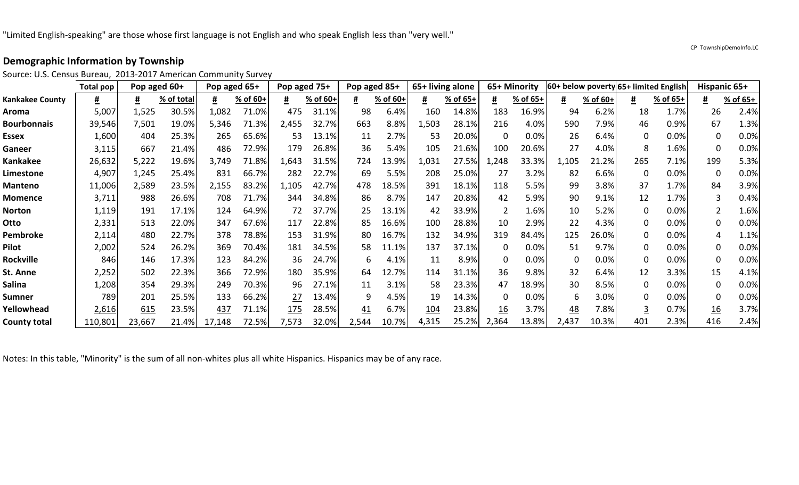Source: U.S. Census Bureau, 2013-2017 American Community Survey

|                        | <b>Total pop</b> | Pop aged 60+ |            | Pop aged 65+ |          | Pop aged 75+ |          | Pop aged 85+ |          | 65+ living alone |          |          | 65+ Minority |             |          |     | 60+ below poverty 65+ limited English |                  | Hispanic 65+ |
|------------------------|------------------|--------------|------------|--------------|----------|--------------|----------|--------------|----------|------------------|----------|----------|--------------|-------------|----------|-----|---------------------------------------|------------------|--------------|
| <b>Kankakee County</b> | #                | #            | % of total |              | % of 60+ |              | % of 60+ |              | % of 60+ | #                | % of 65+ | #        | % of 65+     | #           | % of 60+ | #   | % of 65+                              | <u>#</u>         | % of 65+     |
| Aroma                  | 5,007            | 1,525        | 30.5%      | 1,082        | 71.0%    | 475          | 31.1%    | 98           | 6.4%     | 160              | 14.8%    | 183      | 16.9%        | 94          | 6.2%     | 18  | 1.7%                                  | 26               | 2.4%         |
| <b>Bourbonnais</b>     | 39,546           | 7,501        | 19.0%      | 5,346        | 71.3%    | 2,455        | 32.7%    | 663          | 8.8%     | 1,503            | 28.1%    | 216      | 4.0%         | 590         | 7.9%     | 46  | 0.9%                                  | 67               | 1.3%         |
| <b>Essex</b>           | 1,600            | 404          | 25.3%      | 265          | 65.6%    | 53           | 13.1%    | 11           | 2.7%     | 53               | 20.0%    | 0        | 0.0%         | 26          | 6.4%     | 0   | 0.0%                                  | 0                | 0.0%         |
| Ganeer                 | 3,115            | 667          | 21.4%      | 486          | 72.9%    | 179          | 26.8%    | 36           | 5.4%     | 105              | 21.6%    | 100      | 20.6%        | 27          | 4.0%     |     | 1.6%                                  | $\mathbf 0$      | 0.0%         |
| Kankakee               | 26,632           | 5,222        | 19.6%      | 3,749        | 71.8%    | 1,643        | 31.5%    | 724          | 13.9%    | 1,031            | 27.5%    | L,248    | 33.3%        | 1,105       | 21.2%    | 265 | 7.1%                                  | 199              | 5.3%         |
| Limestone              | 4,907            | 1,245        | 25.4%      | 831          | 66.7%    | 282          | 22.7%    | 69           | 5.5%     | 208              | 25.0%    | 27       | 3.2%         | 82          | 6.6%     | 0   | 0.0%                                  | $\mathbf{0}$     | 0.0%         |
| <b>Manteno</b>         | 11,006           | 2,589        | 23.5%      | 2,155        | 83.2%    | 1,105        | 42.7%    | 478          | 18.5%    | 391              | 18.1%    | 118      | 5.5%         | 99          | 3.8%     | 37  | 1.7%                                  | 84               | 3.9%         |
| <b>Momence</b>         | 3,711            | 988          | 26.6%      | 708          | 71.7%    | 344          | 34.8%    | 86           | 8.7%     | 147              | 20.8%    | 42       | 5.9%         | 90          | 9.1%     | 12  | 1.7%                                  |                  | 0.4%         |
| <b>Norton</b>          | 1,119            | 191          | 17.1%      | 124          | 64.9%    | 72           | 37.7%    | 25           | 13.1%    | 42               | 33.9%    |          | 1.6%         | 10          | 5.2%     |     | 0.0%                                  | $\mathfrak{p}$   | 1.6%         |
| Otto                   | 2,331            | 513          | 22.0%      | 347          | 67.6%    | 117          | 22.8%    | 85           | 16.6%    | 100              | 28.8%    | 10       | 2.9%         | 22          | 4.3%     | 0   | 0.0%                                  | 0                | 0.0%         |
| <b>Pembroke</b>        | 2,114            | 480          | 22.7%      | 378          | 78.8%    | 153          | 31.9%    | 80           | 16.7%    | 132              | 34.9%    | 319      | 84.4%        | 125         | 26.0%    |     | 0.0%                                  | 4                | 1.1%         |
| Pilot                  | 2,002            | 524          | 26.2%      | 369          | 70.4%    | 181          | 34.5%    | 58           | 11.1%    | 137              | 37.1%    | 0        | 0.0%         | 51          | 9.7%     | 0   | 0.0%                                  | $\Omega$         | 0.0%         |
| <b>Rockville</b>       | 846              | 146          | 17.3%      | 123          | 84.2%    | 36           | 24.7%    | 6            | 4.1%     | 11               | 8.9%     | $\Omega$ | 0.0%         | $\mathbf 0$ | 0.0%     |     | 0.0%                                  | 0                | 0.0%         |
| St. Anne               | 2,252            | 502          | 22.3%      | 366          | 72.9%    | 180          | 35.9%    | 64           | 12.7%    | 114              | 31.1%    | 36       | 9.8%         | 32          | 6.4%     | 12  | 3.3%                                  | 15               | 4.1%         |
| Salina                 | 1,208            | 354          | 29.3%      | 249          | 70.3%    | 96           | 27.1%    | 11           | 3.1%     | 58               | 23.3%    | 47       | 18.9%        | 30          | 8.5%     | ∩   | 0.0%                                  | $\Omega$         | 0.0%         |
| Sumner                 | 789              | 201          | 25.5%      | 133          | 66.2%    | 27           | 13.4%    | q            | 4.5%     | 19               | 14.3%    | U        | 0.0%         | 6           | 3.0%     |     | 0.0%                                  | $\Omega$         | 0.0%         |
| Yellowhead             | 2,616            | 615          | 23.5%      | 437          | 71.1%    | 175          | 28.5%    | 41           | 6.7%     | 104              | 23.8%    | 16       | 3.7%         | <u>48</u>   | 7.8%     |     | 0.7%                                  | $\underline{16}$ | 3.7%         |
| <b>County total</b>    | 110,801          | 23,667       | 21.4%      | 17<br>,148   | 72.5%    | 7,573        | 32.0%    | 2,544        | 10.7%    | 4,315            | 25.2%    | 2,364    | 13.8%        | 2,437       | 10.3%    | 401 | 2.3%                                  | 416              | 2.4%         |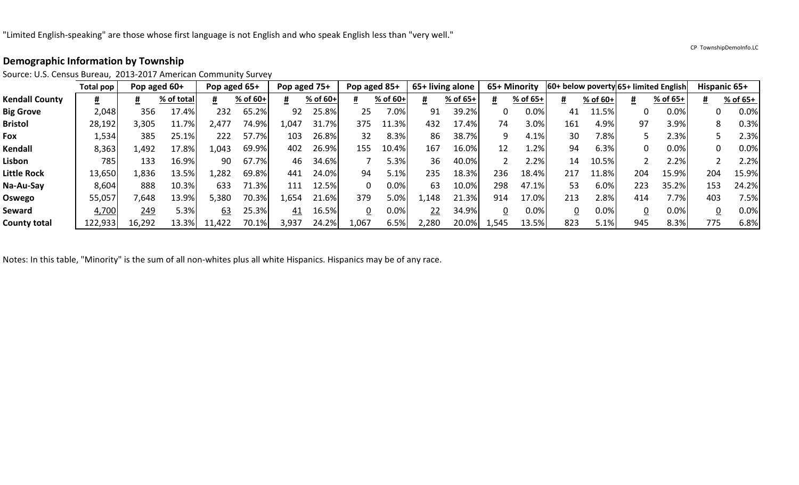|                       | Total pop |        | Pop aged 60+ | Pop aged 65+ |          |       | Pop aged 75+ |       | Pop aged 85+ |               | 65+ living alone |      | 65+ Minority |     |            |     | 60+ below poverty 65+ limited English |     | Hispanic 65+ |
|-----------------------|-----------|--------|--------------|--------------|----------|-------|--------------|-------|--------------|---------------|------------------|------|--------------|-----|------------|-----|---------------------------------------|-----|--------------|
| <b>Kendall County</b> | Ħ         |        | % of total   |              | % of 60+ | #     | % of 60+     |       | % of 60+     |               | % of 65+         |      | % of 65+     |     | $%$ of 60+ |     | % of 65+                              |     | % of 65+     |
| <b>Big Grove</b>      | 2,048     | 356    | 17.4%        | 232          | 65.2%    | 92    | 25.8%        | 25    | $/0.0\%$     | 91            | 39.2%            |      | 0.0%         | 41  | 11.5%      |     | 0.0%                                  |     | 0.0%         |
| <b>Bristol</b>        | 28,192    | 3,305  | 11.7%        | 477_         | 74.9%    | .,047 | 31.7%        | 375   | 11.3%        | 432           | 17.4%            | 74   | 3.0%         | 161 | 4.9%       | 97  | 3.9%                                  |     | 0.3%         |
| Fox                   | 1,534     | 385    | 25.1%        | 222          | 57.7%    | 103   | 26.8%        | 32    | 8.3%         | 86            | 38.7%            | 9    | 4.1%         | 30  | 7.8%       |     | 2.3%                                  |     | 2.3%         |
| Kendall               | 8,363     | 1,492  | 17.8%        | 1,043        | 69.9%    | 402   | 26.9%        | 155   | 10.4%        | 167           | 16.0%            | 12   | $1.2\%$      | 94  | 6.3%       | 0   | 0.0%                                  |     | 0.0%         |
| Lisbon                | 785       | 133    | 16.9%        | 90           | 67.7%    | 46    | 34.6%        |       | 5.3%         | 36            | 40.0%            |      | 2.2%         | 14  | 10.5%      |     | 2.2%                                  |     | 2.2%         |
| Little Rock           | 13,650    | 1,836  | 13.5%        | ,282         | 69.8%    | 441   | 24.0%        | 94    | 5.1%         | 235           | 18.3%            | 236  | 18.4%        | 217 | 11.8%      | 204 | 15.9%                                 | 204 | 15.9%        |
| Na-Au-Say             | 8,604     | 888    | 10.3%        | 633          | 71.3%    | 111   | 12.5%        | 0     | 0.0%         | 63            | 10.0%            | 298  | 47.1%        | 53  | 6.0%       | 223 | 35.2%                                 | 153 | 24.2%        |
| Oswego                | 55,057    | 7,648  | 13.9%        | 5,380        | 70.3%    | .,654 | 21.6%        | 379   | 5.0%         | L <b>,148</b> | 21.3%            | 914  | 17.0%        | 213 | 2.8%       | 414 | 7.7%                                  | 403 | 7.5%         |
| Seward                | 4,700     | 249    | 5.3%         | 63           | 25.3%    | 41    | 16.5%        | 0     | 0.0%         | 22            | 34.9%            |      | 0.0%         | 0   | 0.0%       |     | 0.0%                                  |     | 0.0%         |
| <b>County total</b>   | 122,933   | 16,292 | 13.3%        | 11,422       | 70.1%    | 3,937 | 24.2%        | 1,067 | 6.5%         | 2,280         | 20.0%            | .545 | 13.5%        | 823 | 5.1%       | 945 | 8.3%                                  | 775 | 6.8%         |

Source: U.S. Census Bureau, 2013-2017 American Community Survey

Notes: In this table, "Minority" is the sum of all non-whites plus all white Hispanics. Hispanics may be of any race.

CP TownshipDemoInfo.LC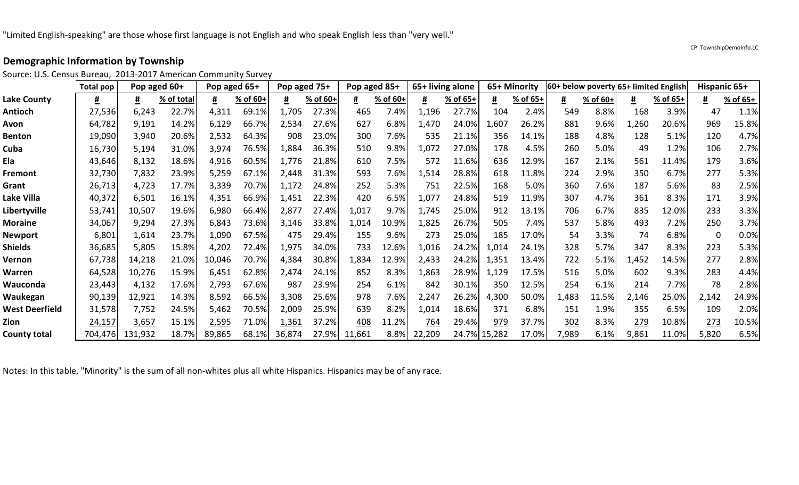Source: U.S. Census Bureau, 2013-2017 American Community Survey

|                     | <b>Total pop</b> | Pop aged 60+ |            | Pop aged 65+ |          | Pop aged 75+ |          | Pop aged 85+ |          |        | 65+ living alone |              | 65+ Minority |       |          |       | 60+ below poverty 65+ limited English |       | Hispanic 65+ |
|---------------------|------------------|--------------|------------|--------------|----------|--------------|----------|--------------|----------|--------|------------------|--------------|--------------|-------|----------|-------|---------------------------------------|-------|--------------|
| <b>Lake County</b>  | #                | #            | % of total | #            | % of 60+ | #            | % of 60+ | #            | % of 60+ | #      | % of 65+         | #            | % of 65+     | #     | % of 60+ | #     | % of 65+                              | #     | % of 65+     |
| Antioch             | 27,536           | 6,243        | 22.7%      | 4,311        | 69.1%    | 1,705        | 27.3%    | 465          | 7.4%     | 1,196  | 27.7%            | 104          | 2.4%         | 549   | 8.8%     | 168   | 3.9%                                  | 47    | 1.1%         |
| Avon                | 64,782           | 9,191        | 14.2%      | 6,129        | 66.7%    | 2,534        | 27.6%    | 627          | 6.8%     | 1,470  | 24.0%            | 1,607        | 26.2%        | 881   | 9.6%     | 1,260 | 20.6%                                 | 969   | 15.8%        |
| <b>Benton</b>       | 19,090           | 3,940        | 20.6%      | 2,532        | 64.3%    | 908          | 23.0%    | 300          | 7.6%     | 535    | 21.1%            | 356          | 14.1%        | 188   | 4.8%     | 128   | 5.1%                                  | 120   | 4.7%         |
| Cuba                | 16,730           | 5,194        | 31.0%      | 3,974        | 76.5%    | 1,884        | 36.3%    | 510          | 9.8%     | 1,072  | 27.0%            | 178          | 4.5%         | 260   | 5.0%     | 49    | 1.2%                                  | 106   | 2.7%         |
| Ela                 | 43,646           | 8,132        | 18.6%      | 4,916        | 60.5%    | 1,776        | 21.8%    | 610          | 7.5%     | 572    | 11.6%            | 636          | 12.9%        | 167   | 2.1%     | 561   | 11.4%                                 | 179   | 3.6%         |
| Fremont             | 32,730           | 7,832        | 23.9%      | 5,259        | 67.1%    | 2,448        | 31.3%    | 593          | 7.6%     | 1,514  | 28.8%            | 618          | 11.8%        | 224   | 2.9%     | 350   | 6.7%                                  | 277   | 5.3%         |
| Grant               | 26,713           | 4,723        | 17.7%      | 3,339        | 70.7%    | 1,172        | 24.8%    | 252          | 5.3%     | 751    | 22.5%            | 168          | 5.0%         | 360   | 7.6%     | 187   | 5.6%                                  | 83    | 2.5%         |
| Lake Villa          | 40,372           | 6,501        | 16.1%      | 4,351        | 66.9%    | 1,451        | 22.3%    | 420          | 6.5%     | 1,077  | 24.8%            | 519          | 11.9%        | 307   | 4.7%     | 361   | 8.3%                                  | 171   | 3.9%         |
| Libertyville        | 53,741           | 10,507       | 19.6%      | 6,980        | 66.4%    | 2,877        | 27.4%    | 1,017        | 9.7%     | 1,745  | 25.0%            | 912          | 13.1%        | 706   | 6.7%     | 835   | 12.0%                                 | 233   | 3.3%         |
| Moraine             | 34,067           | 9,294        | 27.3%      | 6,843        | 73.6%    | 3,146        | 33.8%    | 1,014        | 10.9%    | 1,825  | 26.7%            | 505          | 7.4%         | 537   | 5.8%     | 493   | 7.2%                                  | 250   | 3.7%         |
| Newport             | 6,801            | 1,614        | 23.7%      | 1,090        | 67.5%    | 475          | 29.4%    | 155          | 9.6%     | 273    | 25.0%            | 185          | 17.0%        | 54    | 3.3%     | 74    | 6.8%                                  | 0     | 0.0%         |
| Shields             | 36,685           | 5,805        | 15.8%      | 4,202        | 72.4%    | 1,975        | 34.0%    | 733          | 12.6%    | 1,016  | 24.2%            | 1,014        | 24.1%        | 328   | 5.7%     | 347   | 8.3%                                  | 223   | 5.3%         |
| Vernon              | 67,738           | 14,218       | 21.0%      | 10,046       | 70.7%    | 4,384        | 30.8%    | 1,834        | 12.9%    | 2,433  | 24.2%            | 1,351        | 13.4%        | 722   | 5.1%     | 1,452 | 14.5%                                 | 277   | 2.8%         |
| Warren              | 64,528           | 10,276       | 15.9%      | 6,451        | 62.8%    | 2,474        | 24.1%    | 852          | 8.3%     | 1,863  | 28.9%            | 1,129        | 17.5%        | 516   | 5.0%     | 602   | 9.3%                                  | 283   | 4.4%         |
| Wauconda            | 23,443           | 4,132        | 17.6%      | 2,793        | 67.6%    | 987          | 23.9%    | 254          | 6.1%     | 842    | 30.1%            | 350          | 12.5%        | 254   | 6.1%     | 214   | 7.7%                                  | 78    | 2.8%         |
| Waukegan            | 90,139           | 12,921       | 14.3%      | 8,592        | 66.5%    | 3,308        | 25.6%    | 978          | 7.6%     | 2,247  | 26.2%            | 4,300        | 50.0%        | 1,483 | 11.5%    | 2,146 | 25.0%                                 | 2,142 | 24.9%        |
| West Deerfield      | 31,578           | 7,752        | 24.5%      | 5,462        | 70.5%    | 2,009        | 25.9%    | 639          | 8.2%     | 1,014  | 18.6%            | 371          | 6.8%         | 151   | 1.9%     | 355   | 6.5%                                  | 109   | 2.0%         |
| Zion                | 24,157           | 3,657        | 15.1%      | 2,595        | 71.0%    | 1,361        | 37.2%    | 408          | 11.2%    | 764    | 29.4%            | 979          | 37.7%        | 302   | 8.3%     | 279   | 10.8%                                 | 273   | 10.5%        |
| <b>County total</b> | 704,476          | 131,932      | 18.7%      | 89,865       | 68.1%    | 36,874       | 27.9%    | 11,661       | 8.8%     | 22,209 |                  | 24.7% 15,282 | 17.0%        | 7,989 | 6.1%     | 9,861 | 11.0%                                 | 5,820 | 6.5%         |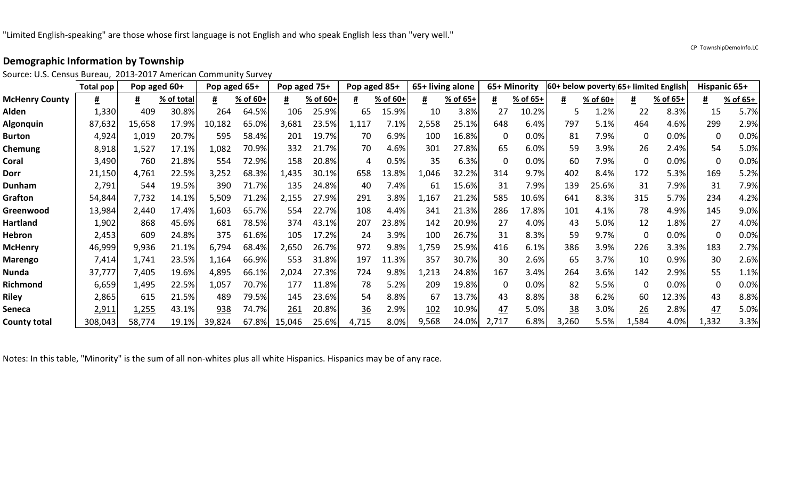Source: U.S. Census Bureau, 2013-2017 American Community Survey

|                       | Total pop    | Pop aged 60+ |            |        | Pop aged 65+ | Pop aged 75+ |          | Pop aged 85+ |          |       | 65+ living alone |       | 65+ Minority |           |          |          | 60+ below poverty 65+ limited English |             | <b>Hispanic 65+</b> |
|-----------------------|--------------|--------------|------------|--------|--------------|--------------|----------|--------------|----------|-------|------------------|-------|--------------|-----------|----------|----------|---------------------------------------|-------------|---------------------|
| <b>McHenry County</b> | Ħ            | #            | % of total |        | % of 60+     |              | % of 60+ |              | % of 60+ | #     | % of 65+         | #     | % of 65+     | #         | % of 60+ | #        | % of 65+                              | #           | % of 65+            |
| Alden                 | 1,330        | 409          | 30.8%      | 264    | 64.5%        | 106          | 25.9%    | 65           | 15.9%    | 10    | 3.8%             | 27    | 10.2%        | 5         | 1.2%     | 22       | 8.3%                                  | 15          | 5.7%                |
| Algonquin             | 87,632       | 15,658       | 17.9%      | 10,182 | 65.0%        | 3,681        | 23.5%    | 1,117        | 7.1%     | 2,558 | 25.1%            | 648   | 6.4%         | 797       | 5.1%     | 464      | 4.6%                                  | 299         | 2.9%                |
| <b>Burton</b>         | 4,924        | 1,019        | 20.7%      | 595    | 58.4%        | 201          | 19.7%    | 70           | 6.9%     | 100   | 16.8%            | 0     | 0.0%         | 81        | 7.9%     | 0        | 0.0%                                  | 0           | 0.0%                |
| Chemung               | 8,918        | 1,527        | 17.1%      | 1,082  | 70.9%        | 332          | 21.7%    | 70           | 4.6%     | 301   | 27.8%            | 65    | 6.0%         | 59        | 3.9%     | 26       | 2.4%                                  | 54          | 5.0%                |
| Coral                 | 3,490        | 760          | 21.8%      | 554    | 72.9%        | 158          | 20.8%    | 4            | 0.5%     | 35    | 6.3%             | 0     | 0.0%         | 60        | 7.9%     | 0        | 0.0%                                  | $\mathbf 0$ | 0.0%                |
| <b>Dorr</b>           | 21,150       | 4,761        | 22.5%      | 3,252  | 68.3%        | ,435         | 30.1%    | 658          | 13.8%    | 1,046 | 32.2%            | 314   | 9.7%         | 402       | 8.4%     | 172      | 5.3%                                  | 169         | 5.2%                |
| <b>Dunham</b>         | 2,791        | 544          | 19.5%      | 390    | 71.7%        | 135          | 24.8%    | 40           | 7.4%     | 61    | 15.6%            | 31    | 7.9%         | 139       | 25.6%    | 31       | 7.9%                                  | 31          | 7.9%                |
| Grafton               | 54,844       | 7,732        | 14.1%      | 5,509  | 71.2%        | 2,155        | 27.9%    | 291          | 3.8%     | 1,167 | 21.2%            | 585   | 10.6%        | 641       | 8.3%     | 315      | 5.7%                                  | 234         | 4.2%                |
| Greenwood             | 13,984       | 2,440        | 17.4%      | .,603  | 65.7%        | 554          | 22.7%    | 108          | 4.4%     | 341   | 21.3%            | 286   | 17.8%        | 101       | 4.1%     | 78       | 4.9%                                  | 145         | 9.0%                |
| <b>Hartland</b>       | 1,902        | 868          | 45.6%      | 681    | 78.5%        | 374          | 43.1%    | 207          | 23.8%    | 142   | 20.9%            | 27    | 4.0%         | 43        | 5.0%     | 12       | 1.8%                                  | 27          | 4.0%                |
| <b>Hebron</b>         | 2,453        | 609          | 24.8%      | 375    | 61.6%        | 105          | 17.2%    | 24           | 3.9%     | 100   | 26.7%            | 31    | 8.3%         | 59        | 9.7%     | $\Omega$ | 0.0%                                  | $\mathbf 0$ | 0.0%                |
| <b>McHenry</b>        | 46,999       | 9,936        | 21.1%      | 6,794  | 68.4%        | 2,650        | 26.7%    | 972          | 9.8%     | 1,759 | 25.9%            | 416   | 6.1%         | 386       | 3.9%     | 226      | 3.3%                                  | 183         | 2.7%                |
| <b>Marengo</b>        | 7,414        | 1,741        | 23.5%      | .,164  | 66.9%        | 553          | 31.8%    | 197          | 11.3%    | 357   | 30.7%            | 30    | 2.6%         | 65        | 3.7%     | 10       | 0.9%                                  | 30          | 2.6%                |
| Nunda                 | 37,777       | 7,405        | 19.6%      | 4,895  | 66.1%        | 2,024        | 27.3%    | 724          | 9.8%     | 1,213 | 24.8%            | 167   | 3.4%         | 264       | 3.6%     | 142      | 2.9%                                  | 55          | 1.1%                |
| Richmond              | 6,659        | 1,495        | 22.5%      | 1,057  | 70.7%        | 177          | 11.8%    | 78           | 5.2%     | 209   | 19.8%            | 0     | 0.0%         | 82        | 5.5%     | O        | 0.0%                                  | $\Omega$    | 0.0%                |
| <b>Riley</b>          | 2,865        | 615          | 21.5%      | 489    | 79.5%        | 145          | 23.6%    | 54           | 8.8%     | 67    | 13.7%            | 43    | 8.8%         | 38        | 6.2%     | 60       | 12.3%                                 | 43          | 8.8%                |
| <b>Seneca</b>         | <u>2,911</u> | 1,255        | 43.1%      | 938    | 74.7%        | 261          | 20.8%    | 36           | 2.9%     | 102   | 10.9%            | 47    | 5.0%         | <u>38</u> | 3.0%     | 26       | 2.8%                                  | 47          | 5.0%                |
| <b>County total</b>   | 308,043      | 58,774       | 19.1%      | 39,824 | 67.8%        | 15,046       | 25.6%    | 4,715        | 8.0%     | 9,568 | 24.0%            | 2,717 | 6.8%         | 3,260     | 5.5%     | 1,584    | 4.0%                                  | 1,332       | 3.3%                |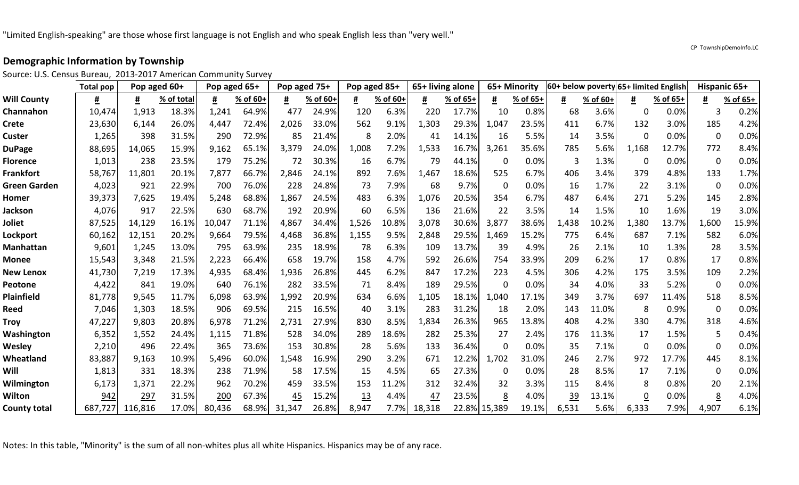Source: U.S. Census Bureau, 2013-2017 American Community Survey

|                     | Total pop | Pop aged 60+ |            | Pop aged 65+ |          | Pop aged 75+ |          | Pop aged 85+ |          | 65+ living alone |          |              | 65+ Minority |           |          |                | 60+ below poverty 65+ limited English | Hispanic 65+ |          |
|---------------------|-----------|--------------|------------|--------------|----------|--------------|----------|--------------|----------|------------------|----------|--------------|--------------|-----------|----------|----------------|---------------------------------------|--------------|----------|
| <b>Will County</b>  | #         | #            | % of total |              | % of 60+ | #            | % of 60+ |              | % of 60+ | <u>#</u>         | % of 65+ | #            | % of 65+     | #         | % of 60+ | #              | % of 65+                              | #            | % of 65+ |
| Channahon           | 10,474    | 1,913        | 18.3%      | 1,241        | 64.9%    | 477          | 24.9%    | 120          | 6.3%     | 220              | 17.7%    | 10           | 0.8%         | 68        | 3.6%     | 0              | 0.0%                                  | 3            | 0.2%     |
| <b>Crete</b>        | 23,630    | 6,144        | 26.0%      | 4,447        | 72.4%    | 2,026        | 33.0%    | 562          | 9.1%     | 1,303            | 29.3%    | 1,047        | 23.5%        | 411       | 6.7%     | 132            | 3.0%                                  | 185          | 4.2%     |
| <b>Custer</b>       | 1,265     | 398          | 31.5%      | 290          | 72.9%    | 85           | 21.4%    | 8            | 2.0%     | 41               | 14.1%    | 16           | 5.5%         | 14        | 3.5%     | 0              | 0.0%                                  | $\mathbf 0$  | 0.0%     |
| <b>DuPage</b>       | 88,695    | 14,065       | 15.9%      | 9,162        | 65.1%    | 3,379        | 24.0%    | 1,008        | 7.2%     | 1,533            | 16.7%    | 3,261        | 35.6%        | 785       | 5.6%     | 1,168          | 12.7%                                 | 772          | 8.4%     |
| <b>Florence</b>     | 1,013     | 238          | 23.5%      | 179          | 75.2%    | 72           | 30.3%    | 16           | 6.7%     | 79               | 44.1%    | 0            | 0.0%         | 3         | 1.3%     | 0              | 0.0%                                  | $\mathbf 0$  | 0.0%     |
| <b>Frankfort</b>    | 58,767    | 11,801       | 20.1%      | 7,877        | 66.7%    | 2,846        | 24.1%    | 892          | 7.6%     | 1,467            | 18.6%    | 525          | 6.7%         | 406       | 3.4%     | 379            | 4.8%                                  | 133          | 1.7%     |
| <b>Green Garden</b> | 4,023     | 921          | 22.9%      | 700          | 76.0%    | 228          | 24.8%    | 73           | 7.9%     | 68               | 9.7%     | $\Omega$     | 0.0%         | 16        | 1.7%     | 22             | 3.1%                                  | $\mathbf 0$  | 0.0%     |
| Homer               | 39,373    | 7,625        | 19.4%      | 5,248        | 68.8%    | 1,867        | 24.5%    | 483          | 6.3%     | 1,076            | 20.5%    | 354          | 6.7%         | 487       | 6.4%     | 271            | 5.2%                                  | 145          | 2.8%     |
| <b>Jackson</b>      | 4,076     | 917          | 22.5%      | 630          | 68.7%    | 192          | 20.9%    | 60           | 6.5%     | 136              | 21.6%    | 22           | 3.5%         | 14        | 1.5%     | 10             | 1.6%                                  | 19           | 3.0%     |
| Joliet              | 87,525    | 14,129       | 16.1%      | 10,047       | 71.1%    | 4,867        | 34.4%    | 1,526        | 10.8%    | 3,078            | 30.6%    | 3,877        | 38.6%        | 1,438     | 10.2%    | 1,380          | 13.7%                                 | 1,600        | 15.9%    |
| Lockport            | 60,162    | 12,151       | 20.2%      | 9,664        | 79.5%    | 4,468        | 36.8%    | 1,155        | 9.5%     | 2,848            | 29.5%    | 1,469        | 15.2%        | 775       | 6.4%     | 687            | 7.1%                                  | 582          | 6.0%     |
| Manhattan           | 9,601     | 1,245        | 13.0%      | 795          | 63.9%    | 235          | 18.9%    | 78           | 6.3%     | 109              | 13.7%    | 39           | 4.9%         | 26        | 2.1%     | 10             | 1.3%                                  | 28           | 3.5%     |
| <b>Monee</b>        | 15,543    | 3,348        | 21.5%      | 2,223        | 66.4%    | 658          | 19.7%    | 158          | 4.7%     | 592              | 26.6%    | 754          | 33.9%        | 209       | 6.2%     | 17             | 0.8%                                  | 17           | 0.8%     |
| <b>New Lenox</b>    | 41,730    | 7,219        | 17.3%      | 4,935        | 68.4%    | 1,936        | 26.8%    | 445          | 6.2%     | 847              | 17.2%    | 223          | 4.5%         | 306       | 4.2%     | 175            | 3.5%                                  | 109          | 2.2%     |
| <b>Peotone</b>      | 4,422     | 841          | 19.0%      | 640          | 76.1%    | 282          | 33.5%    | 71           | 8.4%     | 189              | 29.5%    | 0            | 0.0%         | 34        | 4.0%     | 33             | 5.2%                                  | $\mathbf 0$  | 0.0%     |
| <b>Plainfield</b>   | 81,778    | 9,545        | 11.7%      | 6,098        | 63.9%    | 1,992        | 20.9%    | 634          | 6.6%     | 1,105            | 18.1%    | 1,040        | 17.1%        | 349       | 3.7%     | 697            | 11.4%                                 | 518          | 8.5%     |
| <b>Reed</b>         | 7,046     | 1,303        | 18.5%      | 906          | 69.5%    | 215          | 16.5%    | 40           | 3.1%     | 283              | 31.2%    | 18           | 2.0%         | 143       | 11.0%    | 8              | 0.9%                                  | $\mathbf 0$  | 0.0%     |
| <b>Troy</b>         | 47,227    | 9,803        | 20.8%      | 6,978        | 71.2%    | 2,731        | 27.9%    | 830          | 8.5%     | 1,834            | 26.3%    | 965          | 13.8%        | 408       | 4.2%     | 330            | 4.7%                                  | 318          | 4.6%     |
| Washington          | 6,352     | 1,552        | 24.4%      | 1,115        | 71.8%    | 528          | 34.0%    | 289          | 18.6%    | 282              | 25.3%    | 27           | 2.4%         | 176       | 11.3%    | 17             | 1.5%                                  | 5            | 0.4%     |
| <b>Wesley</b>       | 2,210     | 496          | 22.4%      | 365          | 73.6%    | 153          | 30.8%    | 28           | 5.6%     | 133              | 36.4%    | $\Omega$     | 0.0%         | 35        | 7.1%     | n              | 0.0%                                  | $\Omega$     | 0.0%     |
| Wheatland           | 83,887    | 9,163        | 10.9%      | 5,496        | 60.0%    | 1,548        | 16.9%    | 290          | 3.2%     | 671              | 12.2%    | 1,702        | 31.0%        | 246       | 2.7%     | 972            | 17.7%                                 | 445          | 8.1%     |
| Will                | 1,813     | 331          | 18.3%      | 238          | 71.9%    | 58           | 17.5%    | 15           | 4.5%     | 65               | 27.3%    | 0            | 0.0%         | 28        | 8.5%     | 17             | 7.1%                                  | 0            | 0.0%     |
| Wilmington          | 6,173     | 1,371        | 22.2%      | 962          | 70.2%    | 459          | 33.5%    | 153          | 11.2%    | 312              | 32.4%    | 32           | 3.3%         | 115       | 8.4%     | 8              | 0.8%                                  | 20           | 2.1%     |
| Wilton              | 942       | 297          | 31.5%      | 200          | 67.3%    | 45           | 15.2%    | <u>13</u>    | 4.4%     | 47               | 23.5%    | <u>8</u>     | 4.0%         | <u>39</u> | 13.1%    | $\overline{0}$ | 0.0%                                  | 8            | 4.0%     |
| <b>County total</b> | 687,727   | 116,816      | 17.0%      | 80,436       | 68.9%    | 31,347       | 26.8%    | 8,947        | 7.7%     | 18,318           |          | 22.8% 15,389 | 19.1%        | 6,531     | 5.6%     | 6,333          | 7.9%                                  | 4,907        | 6.1%     |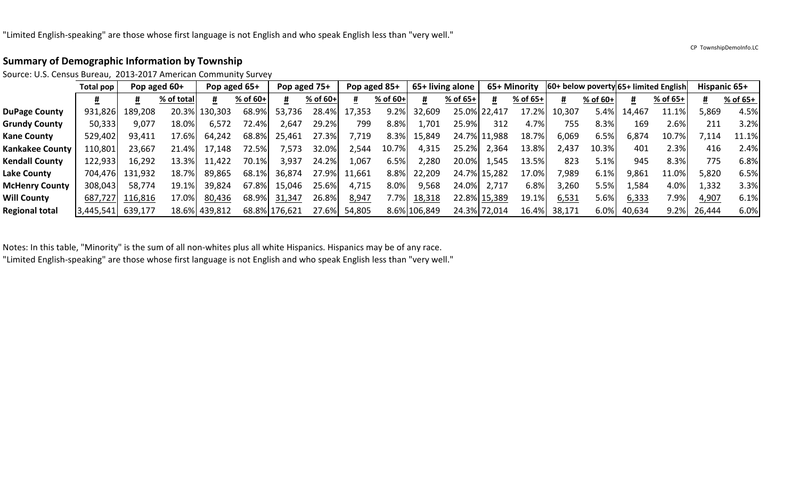#### CP TownshipDemoInfo.LC

#### **Summary of Demographic Information by Township**

Source: U.S. Census Bureau, 2013-2017 American Community Survey

|                        | Total pop |         | Pop aged 60+ | Pop aged 65+ |          |               | Pop aged 75+ | Pop aged 85+ |            |              | 65+ living alone |              | 65+ Minority |        |            |        | 60+ below poverty 65+ limited English | Hispanic 65+ |          |
|------------------------|-----------|---------|--------------|--------------|----------|---------------|--------------|--------------|------------|--------------|------------------|--------------|--------------|--------|------------|--------|---------------------------------------|--------------|----------|
|                        |           |         | % of total   |              | % of 60+ | #             | % of 60+     |              | $%$ of 60+ |              | % of $65+$       | #            | % of 65+     |        | $%$ of 60+ | #      | % of 65+                              | #            | % of 65+ |
| <b>DuPage County</b>   | 931,826   | 189,208 | 20.3%        | 130,303      | 68.9%    | 53,736        | 28.4%        | 17,353       | 9.2%       | 32,609       |                  | 25.0% 22,417 | 17.2%        | 10,307 | 5.4%       | 14,467 | 11.1%                                 | 5,869        | 4.5%     |
| <b>Grundy County</b>   | 50,333    | 9,077   | 18.0%        | 6,572        | 72.4%    | 2,647         | 29.2%        | 799          | 8.8%       | .701         | 25.9%            | 312          | 4.7%         | 755    | 8.3%       | 169    | 2.6%                                  | 211          | 3.2%     |
| <b>Kane County</b>     | 529,402   | 93,411  | 17.6%        | 64,242       | 68.8%    | 25,461        | 27.3%        | ,719         | 8.3%       | 15,849       |                  | 24.7% 11,988 | 18.7%        | 6,069  | 6.5%       | 6,874  | 10.7%                                 | 7,114        | 11.1%    |
| <b>Kankakee County</b> | 110,801   | 23,667  | 21.4%        | 17,148       | 72.5%    | ,573          | 32.0%        | 2,544        | 10.7%      | 4,315        | 25.2%            | 2,364        | 13.8%        | 2,437  | 10.3%      | 401    | 2.3%                                  | 416          | 2.4%     |
| <b>Kendall County</b>  | 122,933   | 16,292  | 13.3%        | 11,422       | 70.1%    | 3,937         | 24.2%        | .,067        | 6.5%       | 2,280        | 20.0%            | 1,545        | 13.5%        | 823    | 5.1%       | 945    | 8.3%                                  | 775          | 6.8%     |
| Lake County            | 704,476   | 131,932 | 18.7%        | 89,865       | 68.1%    | 36,874        | 27.9%        | 11,661       | 8.8%       | 22,209       |                  | 24.7% 15,282 | 17.0%        | 7,989  | 6.1%       | 9,861  | 11.0%                                 | 5,820        | 6.5%     |
| <b>McHenry County</b>  | 308,043   | 58,774  | 19.1%        | 39,824       | 67.8%    | 15,046        | 25.6%        | 4,715        | 8.0%       | 9,568        | 24.0%            | 2,717        | 6.8%         | 3,260  | $5.5\%$    | 1,584  | 4.0%                                  | 1,332        | 3.3%     |
| <b>Will County</b>     | 687,727   | 116,816 | 17.0%        | 80,436       | 68.9%    | 31,347        | 26.8%        | 8,947        | $7.7\%$    | 18,318       |                  | 22.8% 15,389 | 19.1%        | 6,531  | 5.6%       | 6,333  | 7.9%                                  | 4,907        | 6.1%     |
| <b>Regional total</b>  | 3,445,541 | 639,177 | 18.6%        | 439,812      |          | 68.8% 176,621 | 27.6%        | 54,805       |            | 8.6% 106,849 |                  | 24.3% 72,014 | 16.4%        | 38,171 | 6.0%       | 40,634 | 9.2%                                  | 26,444       | 6.0%     |

Notes: In this table, "Minority" is the sum of all non-whites plus all white Hispanics. Hispanics may be of any race.

"Limited English-speaking" are those whose first language is not English and who speak English less than "very well."